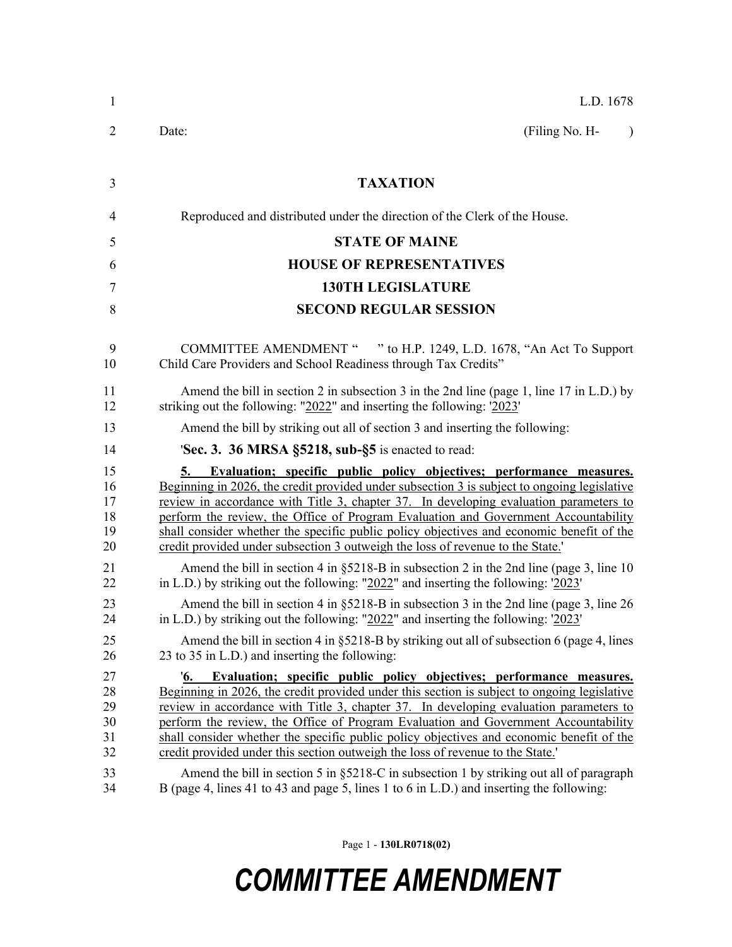| -1                                     | L.D. 1678                                                                                                                                                                                                                                                                                                                                                                                                                                                                                                                                                                                                                                    |
|----------------------------------------|----------------------------------------------------------------------------------------------------------------------------------------------------------------------------------------------------------------------------------------------------------------------------------------------------------------------------------------------------------------------------------------------------------------------------------------------------------------------------------------------------------------------------------------------------------------------------------------------------------------------------------------------|
| $\overline{2}$                         | (Filing No. H-<br>Date:                                                                                                                                                                                                                                                                                                                                                                                                                                                                                                                                                                                                                      |
|                                        |                                                                                                                                                                                                                                                                                                                                                                                                                                                                                                                                                                                                                                              |
| 3                                      | <b>TAXATION</b>                                                                                                                                                                                                                                                                                                                                                                                                                                                                                                                                                                                                                              |
| 4                                      | Reproduced and distributed under the direction of the Clerk of the House.                                                                                                                                                                                                                                                                                                                                                                                                                                                                                                                                                                    |
| 5                                      | <b>STATE OF MAINE</b>                                                                                                                                                                                                                                                                                                                                                                                                                                                                                                                                                                                                                        |
| 6                                      | <b>HOUSE OF REPRESENTATIVES</b>                                                                                                                                                                                                                                                                                                                                                                                                                                                                                                                                                                                                              |
| 7                                      | <b>130TH LEGISLATURE</b>                                                                                                                                                                                                                                                                                                                                                                                                                                                                                                                                                                                                                     |
| 8                                      | <b>SECOND REGULAR SESSION</b>                                                                                                                                                                                                                                                                                                                                                                                                                                                                                                                                                                                                                |
| 9<br>10                                | COMMITTEE AMENDMENT " " to H.P. 1249, L.D. 1678, "An Act To Support<br>Child Care Providers and School Readiness through Tax Credits"                                                                                                                                                                                                                                                                                                                                                                                                                                                                                                        |
| 11<br>12                               | Amend the bill in section 2 in subsection 3 in the 2nd line (page 1, line 17 in L.D.) by<br>striking out the following: "2022" and inserting the following: '2023'                                                                                                                                                                                                                                                                                                                                                                                                                                                                           |
| 13                                     | Amend the bill by striking out all of section 3 and inserting the following:                                                                                                                                                                                                                                                                                                                                                                                                                                                                                                                                                                 |
| 14                                     | <b>Sec. 3. 36 MRSA §5218, sub-§5</b> is enacted to read:                                                                                                                                                                                                                                                                                                                                                                                                                                                                                                                                                                                     |
| 15<br>16<br>17<br>18<br>19<br>20       | Evaluation; specific public policy objectives; performance measures.<br>5.<br>Beginning in 2026, the credit provided under subsection 3 is subject to ongoing legislative<br>review in accordance with Title 3, chapter 37. In developing evaluation parameters to<br>perform the review, the Office of Program Evaluation and Government Accountability<br>shall consider whether the specific public policy objectives and economic benefit of the<br>credit provided under subsection 3 outweigh the loss of revenue to the State.'                                                                                                       |
| 21<br>22                               | Amend the bill in section 4 in $\S 5218-B$ in subsection 2 in the 2nd line (page 3, line 10)<br>in L.D.) by striking out the following: " $2022$ " and inserting the following: ' $2023$ '                                                                                                                                                                                                                                                                                                                                                                                                                                                   |
| 23<br>24                               | Amend the bill in section 4 in §5218-B in subsection 3 in the 2nd line (page 3, line 26<br>in L.D.) by striking out the following: " $2022$ " and inserting the following: ' $2023$ '                                                                                                                                                                                                                                                                                                                                                                                                                                                        |
| 25<br>26                               | Amend the bill in section 4 in $\S$ 5218-B by striking out all of subsection 6 (page 4, lines<br>23 to 35 in L.D.) and inserting the following:                                                                                                                                                                                                                                                                                                                                                                                                                                                                                              |
| 27<br>28<br>29<br>30<br>31<br>32<br>33 | Evaluation; specific public policy objectives; performance measures.<br>$^{\prime}6.$<br>Beginning in 2026, the credit provided under this section is subject to ongoing legislative<br>review in accordance with Title 3, chapter 37. In developing evaluation parameters to<br>perform the review, the Office of Program Evaluation and Government Accountability<br>shall consider whether the specific public policy objectives and economic benefit of the<br>credit provided under this section outweigh the loss of revenue to the State.'<br>Amend the bill in section 5 in §5218-C in subsection 1 by striking out all of paragraph |
| 34                                     | B (page 4, lines 41 to 43 and page 5, lines 1 to 6 in L.D.) and inserting the following:                                                                                                                                                                                                                                                                                                                                                                                                                                                                                                                                                     |

Page 1 - **130LR0718(02)**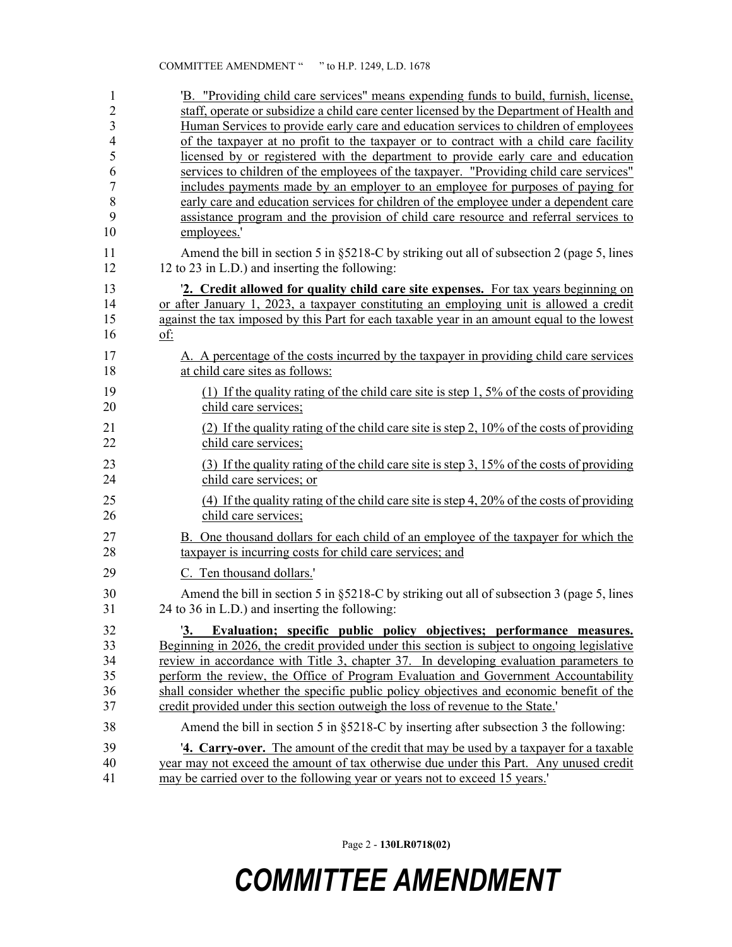| 1                   | 'B. "Providing child care services" means expending funds to build, furnish, license,                                                                                            |
|---------------------|----------------------------------------------------------------------------------------------------------------------------------------------------------------------------------|
| $\overline{2}$<br>3 | staff, operate or subsidize a child care center licensed by the Department of Health and<br>Human Services to provide early care and education services to children of employees |
| $\overline{4}$      | of the taxpayer at no profit to the taxpayer or to contract with a child care facility                                                                                           |
| 5                   | licensed by or registered with the department to provide early care and education                                                                                                |
| 6                   | services to children of the employees of the taxpayer. "Providing child care services"                                                                                           |
| $\overline{7}$      | includes payments made by an employer to an employee for purposes of paying for                                                                                                  |
| $\,8\,$             | early care and education services for children of the employee under a dependent care                                                                                            |
| 9                   | assistance program and the provision of child care resource and referral services to                                                                                             |
| 10                  | employees.'                                                                                                                                                                      |
| 11<br>12            | Amend the bill in section 5 in §5218-C by striking out all of subsection 2 (page 5, lines<br>12 to 23 in L.D.) and inserting the following:                                      |
| 13                  | 2. Credit allowed for quality child care site expenses. For tax years beginning on                                                                                               |
| 14                  | or after January 1, 2023, a taxpayer constituting an employing unit is allowed a credit                                                                                          |
| 15                  | against the tax imposed by this Part for each taxable year in an amount equal to the lowest                                                                                      |
| 16                  | of:                                                                                                                                                                              |
| 17<br>18            | A. A percentage of the costs incurred by the taxpayer in providing child care services<br>at child care sites as follows:                                                        |
| 19                  | (1) If the quality rating of the child care site is step 1, $5\%$ of the costs of providing                                                                                      |
| 20                  | child care services;                                                                                                                                                             |
| 21                  | (2) If the quality rating of the child care site is step 2, 10% of the costs of providing                                                                                        |
| 22                  | child care services;                                                                                                                                                             |
| 23                  | (3) If the quality rating of the child care site is step 3, 15% of the costs of providing                                                                                        |
| 24                  | child care services; or                                                                                                                                                          |
| 25                  | (4) If the quality rating of the child care site is step 4, 20% of the costs of providing                                                                                        |
| 26                  | child care services;                                                                                                                                                             |
| 27                  | B. One thousand dollars for each child of an employee of the taxpayer for which the                                                                                              |
| 28                  | taxpayer is incurring costs for child care services; and                                                                                                                         |
| 29                  | C. Ten thousand dollars.'                                                                                                                                                        |
|                     |                                                                                                                                                                                  |
| 30<br>31            | Amend the bill in section 5 in $\S$ 5218-C by striking out all of subsection 3 (page 5, lines<br>24 to 36 in L.D.) and inserting the following:                                  |
|                     |                                                                                                                                                                                  |
| 32                  | 3.<br>Evaluation; specific public policy objectives; performance measures.                                                                                                       |
| 33                  | Beginning in 2026, the credit provided under this section is subject to ongoing legislative                                                                                      |
| 34<br>35            | review in accordance with Title 3, chapter 37. In developing evaluation parameters to<br>perform the review, the Office of Program Evaluation and Government Accountability      |
| 36                  | shall consider whether the specific public policy objectives and economic benefit of the                                                                                         |
| 37                  | credit provided under this section outweigh the loss of revenue to the State.'                                                                                                   |
| 38                  | Amend the bill in section 5 in §5218-C by inserting after subsection 3 the following:                                                                                            |
| 39                  | <b>4. Carry-over.</b> The amount of the credit that may be used by a taxpayer for a taxable                                                                                      |
| 40                  | year may not exceed the amount of tax otherwise due under this Part. Any unused credit                                                                                           |
| 41                  | may be carried over to the following year or years not to exceed 15 years.                                                                                                       |

Page 2 - **130LR0718(02)**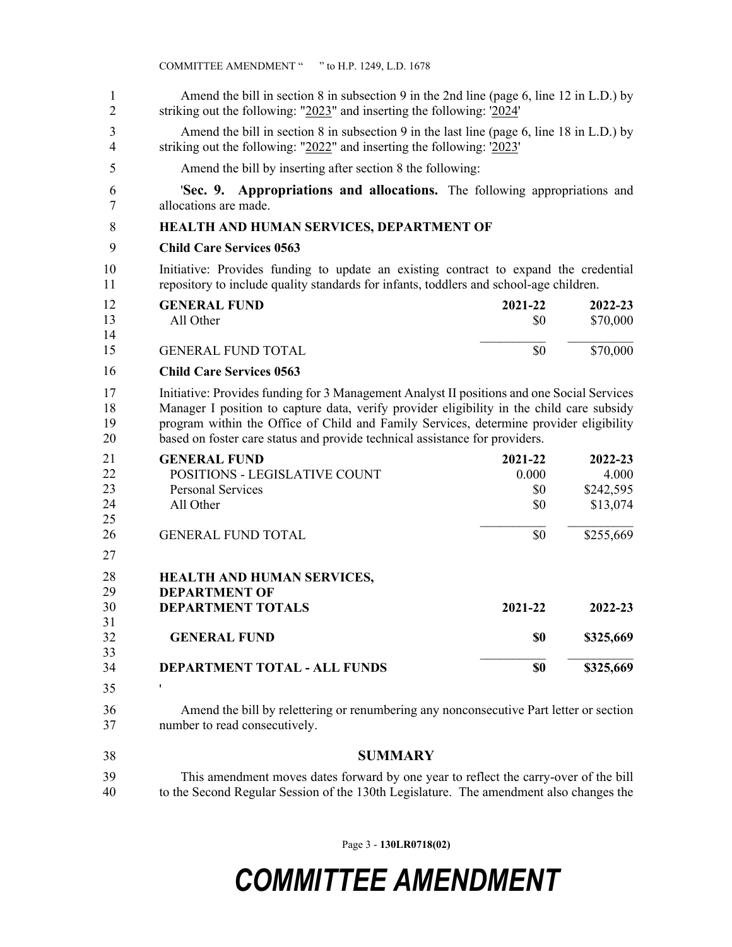| 1<br>$\overline{2}$        | Amend the bill in section 8 in subsection 9 in the 2nd line (page 6, line 12 in L.D.) by<br>striking out the following: " $2023$ " and inserting the following: $2024$ "                                                                                                                                                                                         |  |  |
|----------------------------|------------------------------------------------------------------------------------------------------------------------------------------------------------------------------------------------------------------------------------------------------------------------------------------------------------------------------------------------------------------|--|--|
| 3<br>4                     | Amend the bill in section 8 in subsection 9 in the last line (page 6, line 18 in L.D.) by<br>striking out the following: " $2022$ " and inserting the following: $2023$ "                                                                                                                                                                                        |  |  |
| 5                          | Amend the bill by inserting after section 8 the following:                                                                                                                                                                                                                                                                                                       |  |  |
| 6<br>7                     | <b>Sec. 9. Appropriations and allocations.</b> The following appropriations and<br>allocations are made.                                                                                                                                                                                                                                                         |  |  |
| 8                          | HEALTH AND HUMAN SERVICES, DEPARTMENT OF                                                                                                                                                                                                                                                                                                                         |  |  |
| 9                          | <b>Child Care Services 0563</b>                                                                                                                                                                                                                                                                                                                                  |  |  |
| 10<br>11                   | Initiative: Provides funding to update an existing contract to expand the credential<br>repository to include quality standards for infants, toddlers and school-age children.                                                                                                                                                                                   |  |  |
| 12<br>13<br>14             | <b>GENERAL FUND</b><br>2021-22<br>2022-23<br>\$70,000<br>All Other<br>\$0                                                                                                                                                                                                                                                                                        |  |  |
| 15                         | \$0<br>\$70,000<br><b>GENERAL FUND TOTAL</b>                                                                                                                                                                                                                                                                                                                     |  |  |
| 16                         | <b>Child Care Services 0563</b>                                                                                                                                                                                                                                                                                                                                  |  |  |
| 17<br>18<br>19<br>20       | Initiative: Provides funding for 3 Management Analyst II positions and one Social Services<br>Manager I position to capture data, verify provider eligibility in the child care subsidy<br>program within the Office of Child and Family Services, determine provider eligibility<br>based on foster care status and provide technical assistance for providers. |  |  |
| 21<br>22<br>23<br>24<br>25 | <b>GENERAL FUND</b><br>2021-22<br>2022-23<br>POSITIONS - LEGISLATIVE COUNT<br>0.000<br>4.000<br><b>Personal Services</b><br>\$0<br>\$242,595<br>All Other<br>\$0<br>\$13,074                                                                                                                                                                                     |  |  |
| 26                         | \$0<br>\$255,669<br><b>GENERAL FUND TOTAL</b>                                                                                                                                                                                                                                                                                                                    |  |  |
| 27<br>28<br>29<br>30       | <b>HEALTH AND HUMAN SERVICES,</b><br><b>DEPARTMENT OF</b><br><b>DEPARTMENT TOTALS</b><br>2021-22<br>$2022 - 23$                                                                                                                                                                                                                                                  |  |  |
| 31<br>32<br>33             | <b>GENERAL FUND</b><br>\$0<br>\$325,669                                                                                                                                                                                                                                                                                                                          |  |  |
| 34                         | <b>DEPARTMENT TOTAL - ALL FUNDS</b><br>\$0<br>\$325,669                                                                                                                                                                                                                                                                                                          |  |  |
| 35                         | ,                                                                                                                                                                                                                                                                                                                                                                |  |  |
| 36<br>37                   | Amend the bill by relettering or renumbering any nonconsecutive Part letter or section<br>number to read consecutively.                                                                                                                                                                                                                                          |  |  |
| 38                         | <b>SUMMARY</b>                                                                                                                                                                                                                                                                                                                                                   |  |  |
| 39<br>40                   | This amendment moves dates forward by one year to reflect the carry-over of the bill<br>to the Second Regular Session of the 130th Legislature. The amendment also changes the                                                                                                                                                                                   |  |  |

Page 3 - **130LR0718(02)**